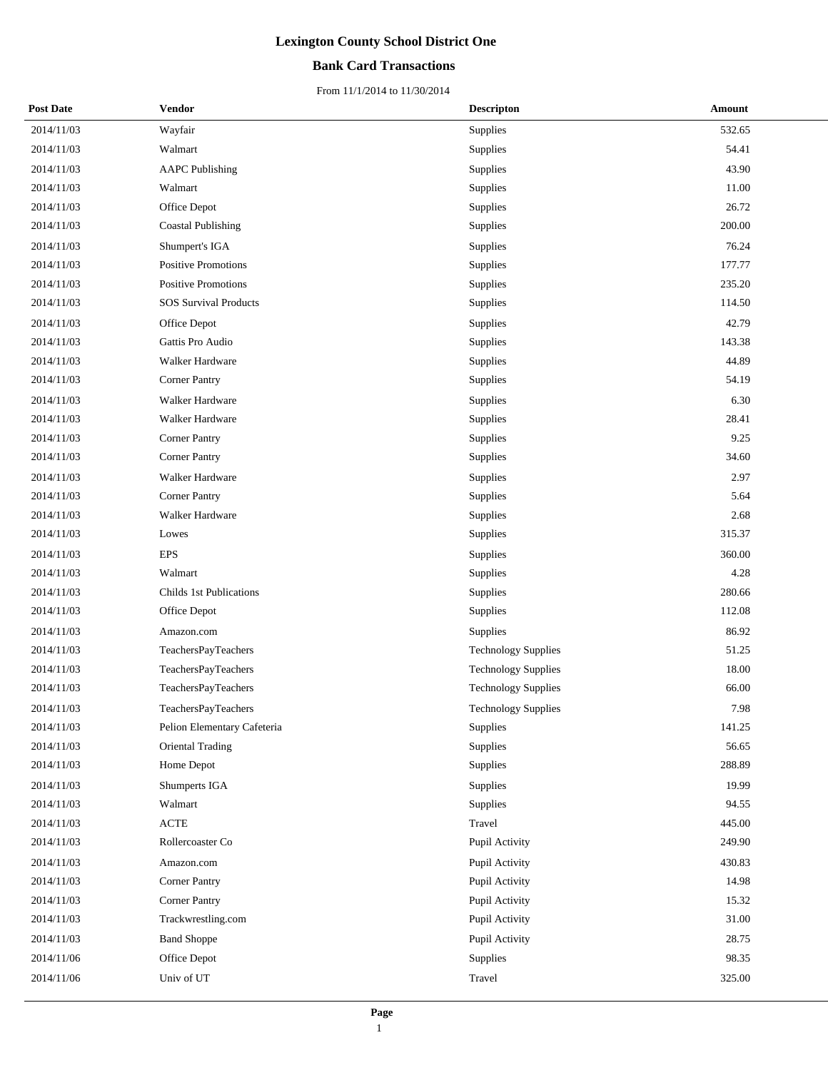## **Bank Card Transactions**

| <b>Post Date</b> | Vendor                       | <b>Descripton</b>          | Amount |  |
|------------------|------------------------------|----------------------------|--------|--|
| 2014/11/03       | Wayfair                      | Supplies                   | 532.65 |  |
| 2014/11/03       | Walmart                      | Supplies                   | 54.41  |  |
| 2014/11/03       | <b>AAPC Publishing</b>       | Supplies                   | 43.90  |  |
| 2014/11/03       | Walmart                      | Supplies                   | 11.00  |  |
| 2014/11/03       | Office Depot                 | Supplies                   | 26.72  |  |
| 2014/11/03       | Coastal Publishing           | Supplies                   | 200.00 |  |
| 2014/11/03       | Shumpert's IGA               | Supplies                   | 76.24  |  |
| 2014/11/03       | Positive Promotions          | Supplies                   | 177.77 |  |
| 2014/11/03       | Positive Promotions          | Supplies                   | 235.20 |  |
| 2014/11/03       | <b>SOS Survival Products</b> | Supplies                   | 114.50 |  |
| 2014/11/03       | Office Depot                 | Supplies                   | 42.79  |  |
| 2014/11/03       | Gattis Pro Audio             | Supplies                   | 143.38 |  |
| 2014/11/03       | Walker Hardware              | Supplies                   | 44.89  |  |
| 2014/11/03       | <b>Corner Pantry</b>         | Supplies                   | 54.19  |  |
| 2014/11/03       | Walker Hardware              | Supplies                   | 6.30   |  |
| 2014/11/03       | Walker Hardware              | Supplies                   | 28.41  |  |
| 2014/11/03       | <b>Corner Pantry</b>         | Supplies                   | 9.25   |  |
| 2014/11/03       | <b>Corner Pantry</b>         | Supplies                   | 34.60  |  |
| 2014/11/03       | Walker Hardware              | Supplies                   | 2.97   |  |
| 2014/11/03       | <b>Corner Pantry</b>         | Supplies                   | 5.64   |  |
| 2014/11/03       | Walker Hardware              | Supplies                   | 2.68   |  |
| 2014/11/03       | Lowes                        | Supplies                   | 315.37 |  |
| 2014/11/03       | <b>EPS</b>                   | Supplies                   | 360.00 |  |
| 2014/11/03       | Walmart                      | Supplies                   | 4.28   |  |
| 2014/11/03       | Childs 1st Publications      | Supplies                   | 280.66 |  |
| 2014/11/03       | Office Depot                 | Supplies                   | 112.08 |  |
| 2014/11/03       | Amazon.com                   | Supplies                   | 86.92  |  |
| 2014/11/03       | TeachersPayTeachers          | <b>Technology Supplies</b> | 51.25  |  |
| 2014/11/03       | TeachersPayTeachers          | <b>Technology Supplies</b> | 18.00  |  |
| 2014/11/03       | TeachersPayTeachers          | <b>Technology Supplies</b> | 66.00  |  |
| 2014/11/03       | <b>TeachersPayTeachers</b>   | Technology Supplies        | 7.98   |  |
| 2014/11/03       | Pelion Elementary Cafeteria  | Supplies                   | 141.25 |  |
| 2014/11/03       | <b>Oriental Trading</b>      | Supplies                   | 56.65  |  |
| 2014/11/03       | Home Depot                   | Supplies                   | 288.89 |  |
| 2014/11/03       | Shumperts IGA                | Supplies                   | 19.99  |  |
| 2014/11/03       | Walmart                      | Supplies                   | 94.55  |  |
| 2014/11/03       | $\operatorname{ACTE}$        | Travel                     | 445.00 |  |
| 2014/11/03       | Rollercoaster Co             | Pupil Activity             | 249.90 |  |
| 2014/11/03       | Amazon.com                   | Pupil Activity             | 430.83 |  |
| 2014/11/03       | <b>Corner Pantry</b>         | Pupil Activity             | 14.98  |  |
| 2014/11/03       | <b>Corner Pantry</b>         | Pupil Activity             | 15.32  |  |
| 2014/11/03       | Trackwrestling.com           | Pupil Activity             | 31.00  |  |
| 2014/11/03       | <b>Band Shoppe</b>           | Pupil Activity             | 28.75  |  |
| 2014/11/06       | Office Depot                 | Supplies                   | 98.35  |  |
| 2014/11/06       | Univ of UT                   | Travel                     | 325.00 |  |
|                  |                              |                            |        |  |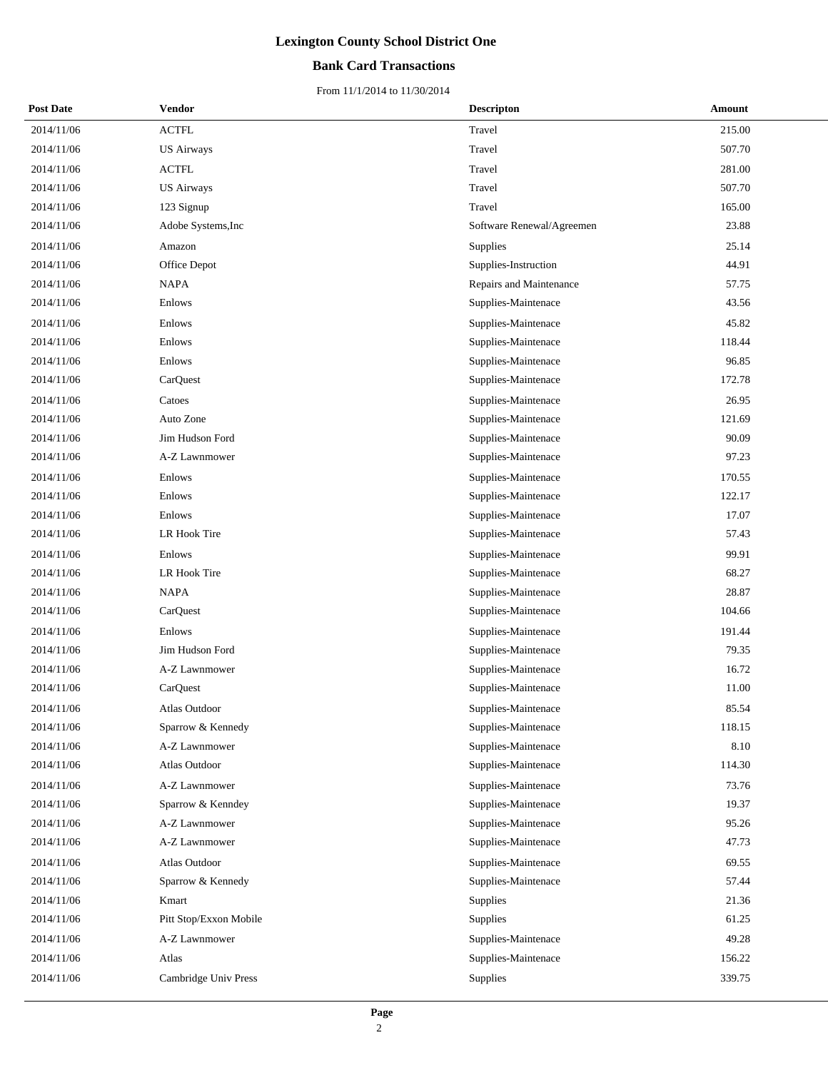## **Bank Card Transactions**

| <b>Post Date</b> | Vendor                 | <b>Descripton</b>         | Amount |
|------------------|------------------------|---------------------------|--------|
| 2014/11/06       | <b>ACTFL</b>           | Travel                    | 215.00 |
| 2014/11/06       | <b>US Airways</b>      | Travel                    | 507.70 |
| 2014/11/06       | <b>ACTFL</b>           | Travel                    | 281.00 |
| 2014/11/06       | <b>US Airways</b>      | Travel                    | 507.70 |
| 2014/11/06       | 123 Signup             | Travel                    | 165.00 |
| 2014/11/06       | Adobe Systems, Inc     | Software Renewal/Agreemen | 23.88  |
| 2014/11/06       | Amazon                 | Supplies                  | 25.14  |
| 2014/11/06       | Office Depot           | Supplies-Instruction      | 44.91  |
| 2014/11/06       | <b>NAPA</b>            | Repairs and Maintenance   | 57.75  |
| 2014/11/06       | Enlows                 | Supplies-Maintenace       | 43.56  |
| 2014/11/06       | Enlows                 | Supplies-Maintenace       | 45.82  |
| 2014/11/06       | Enlows                 | Supplies-Maintenace       | 118.44 |
| 2014/11/06       | Enlows                 | Supplies-Maintenace       | 96.85  |
| 2014/11/06       | CarQuest               | Supplies-Maintenace       | 172.78 |
| 2014/11/06       | Catoes                 | Supplies-Maintenace       | 26.95  |
| 2014/11/06       | Auto Zone              | Supplies-Maintenace       | 121.69 |
| 2014/11/06       | Jim Hudson Ford        | Supplies-Maintenace       | 90.09  |
| 2014/11/06       | A-Z Lawnmower          | Supplies-Maintenace       | 97.23  |
| 2014/11/06       | Enlows                 | Supplies-Maintenace       | 170.55 |
| 2014/11/06       | Enlows                 | Supplies-Maintenace       | 122.17 |
| 2014/11/06       | Enlows                 | Supplies-Maintenace       | 17.07  |
| 2014/11/06       | LR Hook Tire           | Supplies-Maintenace       | 57.43  |
| 2014/11/06       | Enlows                 | Supplies-Maintenace       | 99.91  |
| 2014/11/06       | LR Hook Tire           | Supplies-Maintenace       | 68.27  |
| 2014/11/06       | <b>NAPA</b>            | Supplies-Maintenace       | 28.87  |
| 2014/11/06       | CarQuest               | Supplies-Maintenace       | 104.66 |
| 2014/11/06       | Enlows                 | Supplies-Maintenace       | 191.44 |
| 2014/11/06       | Jim Hudson Ford        | Supplies-Maintenace       | 79.35  |
| 2014/11/06       | A-Z Lawnmower          | Supplies-Maintenace       | 16.72  |
| 2014/11/06       | CarQuest               | Supplies-Maintenace       | 11.00  |
| 2014/11/06       | Atlas Outdoor          | Supplies-Maintenace       | 85.54  |
| 2014/11/06       | Sparrow & Kennedy      | Supplies-Maintenace       | 118.15 |
| 2014/11/06       | A-Z Lawnmower          | Supplies-Maintenace       | 8.10   |
| 2014/11/06       | Atlas Outdoor          | Supplies-Maintenace       | 114.30 |
| 2014/11/06       | A-Z Lawnmower          | Supplies-Maintenace       | 73.76  |
| 2014/11/06       | Sparrow & Kenndey      | Supplies-Maintenace       | 19.37  |
| 2014/11/06       | A-Z Lawnmower          | Supplies-Maintenace       | 95.26  |
| 2014/11/06       | A-Z Lawnmower          | Supplies-Maintenace       | 47.73  |
| 2014/11/06       | Atlas Outdoor          | Supplies-Maintenace       | 69.55  |
| 2014/11/06       | Sparrow & Kennedy      | Supplies-Maintenace       | 57.44  |
| 2014/11/06       | Kmart                  | Supplies                  | 21.36  |
| 2014/11/06       | Pitt Stop/Exxon Mobile | Supplies                  | 61.25  |
| 2014/11/06       | A-Z Lawnmower          | Supplies-Maintenace       | 49.28  |
| 2014/11/06       | Atlas                  | Supplies-Maintenace       | 156.22 |
| 2014/11/06       | Cambridge Univ Press   | Supplies                  | 339.75 |
|                  |                        |                           |        |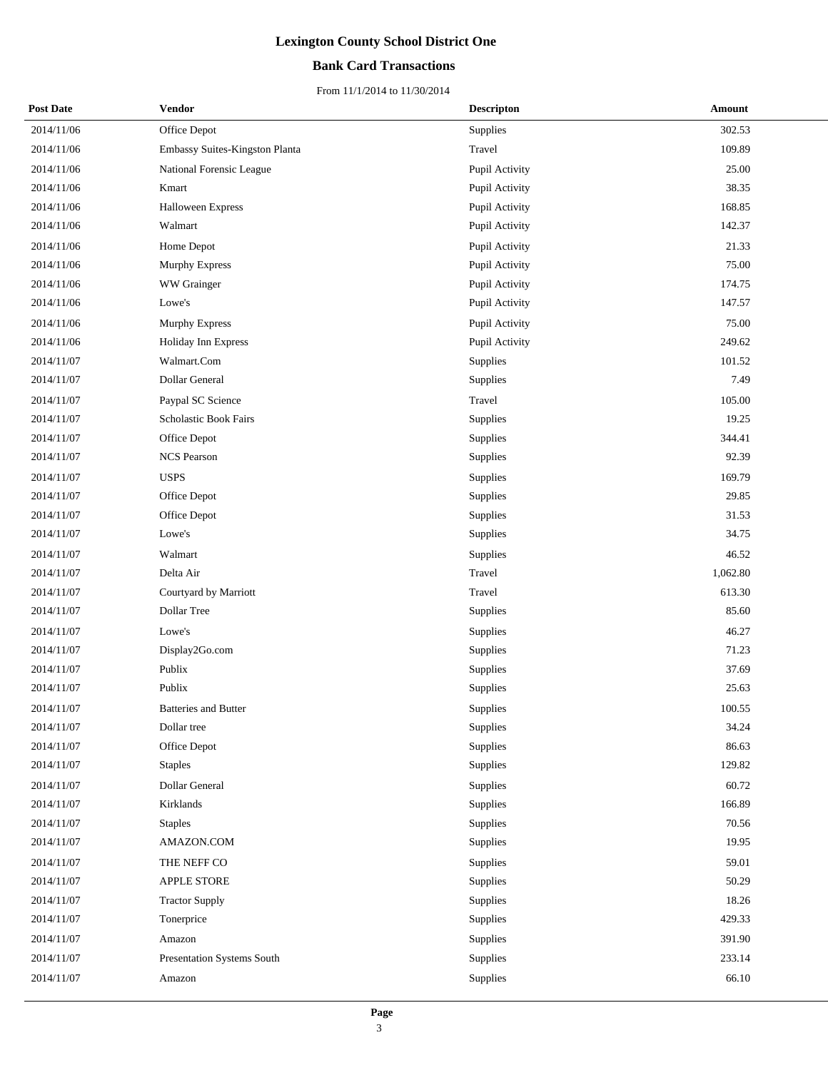## **Bank Card Transactions**

| <b>Post Date</b> | Vendor                         | <b>Descripton</b> | Amount   |
|------------------|--------------------------------|-------------------|----------|
| 2014/11/06       | Office Depot                   | Supplies          | 302.53   |
| 2014/11/06       | Embassy Suites-Kingston Planta | Travel            | 109.89   |
| 2014/11/06       | National Forensic League       | Pupil Activity    | 25.00    |
| 2014/11/06       | Kmart                          | Pupil Activity    | 38.35    |
| 2014/11/06       | Halloween Express              | Pupil Activity    | 168.85   |
| 2014/11/06       | Walmart                        | Pupil Activity    | 142.37   |
| 2014/11/06       | Home Depot                     | Pupil Activity    | 21.33    |
| 2014/11/06       | Murphy Express                 | Pupil Activity    | 75.00    |
| 2014/11/06       | WW Grainger                    | Pupil Activity    | 174.75   |
| 2014/11/06       | Lowe's                         | Pupil Activity    | 147.57   |
| 2014/11/06       | Murphy Express                 | Pupil Activity    | 75.00    |
| 2014/11/06       | Holiday Inn Express            | Pupil Activity    | 249.62   |
| 2014/11/07       | Walmart.Com                    | Supplies          | 101.52   |
| 2014/11/07       | Dollar General                 | Supplies          | 7.49     |
| 2014/11/07       | Paypal SC Science              | Travel            | 105.00   |
| 2014/11/07       | Scholastic Book Fairs          | Supplies          | 19.25    |
| 2014/11/07       | Office Depot                   | Supplies          | 344.41   |
| 2014/11/07       | <b>NCS Pearson</b>             | Supplies          | 92.39    |
| 2014/11/07       | <b>USPS</b>                    | Supplies          | 169.79   |
| 2014/11/07       | Office Depot                   | Supplies          | 29.85    |
| 2014/11/07       | Office Depot                   | Supplies          | 31.53    |
| 2014/11/07       | Lowe's                         | Supplies          | 34.75    |
| 2014/11/07       | Walmart                        | Supplies          | 46.52    |
| 2014/11/07       | Delta Air                      | Travel            | 1,062.80 |
| 2014/11/07       | Courtyard by Marriott          | Travel            | 613.30   |
| 2014/11/07       | Dollar Tree                    | Supplies          | 85.60    |
| 2014/11/07       | Lowe's                         | Supplies          | 46.27    |
| 2014/11/07       | Display2Go.com                 | Supplies          | 71.23    |
| 2014/11/07       | Publix                         | Supplies          | 37.69    |
| 2014/11/07       | Publix                         | Supplies          | 25.63    |
| 2014/11/07       | Batteries and Butter           | Supplies          | 100.55   |
| 2014/11/07       | Dollar tree                    | Supplies          | 34.24    |
| 2014/11/07       | Office Depot                   | Supplies          | 86.63    |
| 2014/11/07       | <b>Staples</b>                 | Supplies          | 129.82   |
| 2014/11/07       | Dollar General                 | Supplies          | 60.72    |
| 2014/11/07       | Kirklands                      | Supplies          | 166.89   |
| 2014/11/07       | <b>Staples</b>                 | Supplies          | 70.56    |
| 2014/11/07       | AMAZON.COM                     | Supplies          | 19.95    |
| 2014/11/07       | THE NEFF CO                    | Supplies          | 59.01    |
| 2014/11/07       | APPLE STORE                    | Supplies          | 50.29    |
| 2014/11/07       | <b>Tractor Supply</b>          | Supplies          | 18.26    |
| 2014/11/07       | Tonerprice                     | Supplies          | 429.33   |
| 2014/11/07       | Amazon                         | Supplies          | 391.90   |
| 2014/11/07       | Presentation Systems South     | Supplies          | 233.14   |
| 2014/11/07       | Amazon                         | Supplies          | 66.10    |
|                  |                                |                   |          |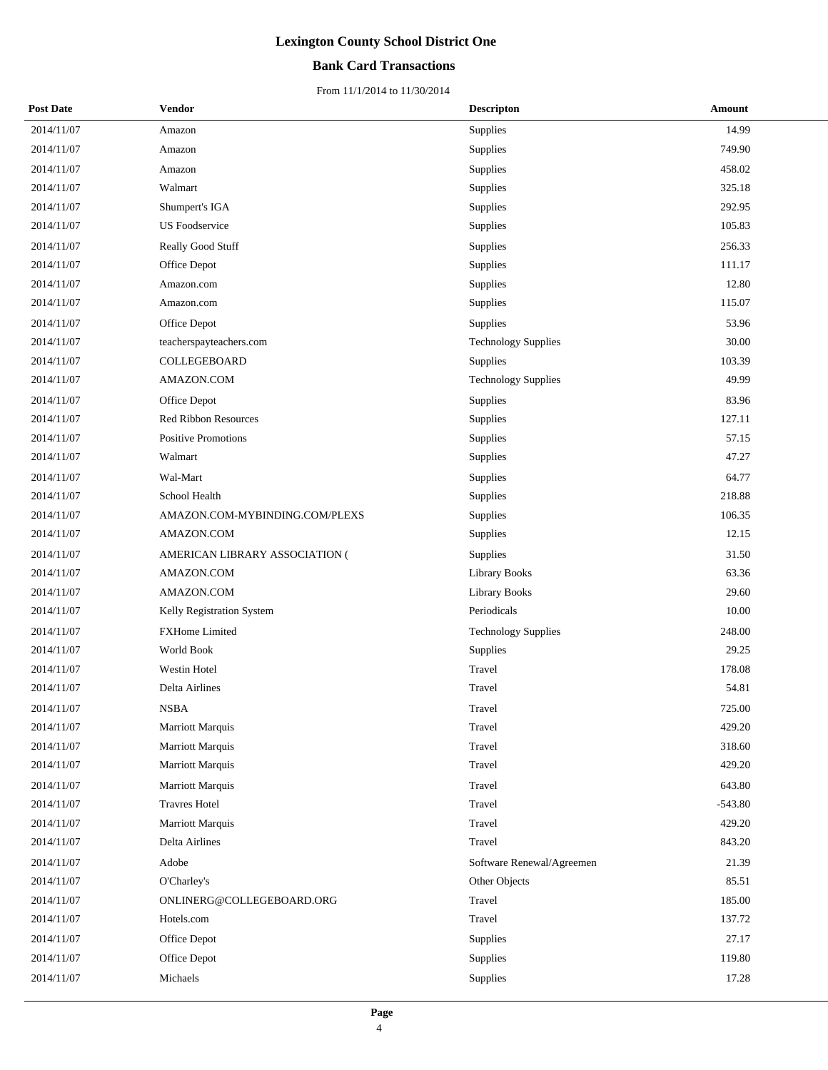### **Bank Card Transactions**

| <b>Post Date</b> | <b>Vendor</b>                  | <b>Descripton</b>          | Amount    |
|------------------|--------------------------------|----------------------------|-----------|
| 2014/11/07       | Amazon                         | Supplies                   | 14.99     |
| 2014/11/07       | Amazon                         | Supplies                   | 749.90    |
| 2014/11/07       | Amazon                         | Supplies                   | 458.02    |
| 2014/11/07       | Walmart                        | Supplies                   | 325.18    |
| 2014/11/07       | Shumpert's IGA                 | Supplies                   | 292.95    |
| 2014/11/07       | <b>US</b> Foodservice          | Supplies                   | 105.83    |
| 2014/11/07       | Really Good Stuff              | Supplies                   | 256.33    |
| 2014/11/07       | Office Depot                   | Supplies                   | 111.17    |
| 2014/11/07       | Amazon.com                     | Supplies                   | 12.80     |
| 2014/11/07       | Amazon.com                     | Supplies                   | 115.07    |
| 2014/11/07       | Office Depot                   | Supplies                   | 53.96     |
| 2014/11/07       | teacherspayteachers.com        | <b>Technology Supplies</b> | 30.00     |
| 2014/11/07       | COLLEGEBOARD                   | Supplies                   | 103.39    |
| 2014/11/07       | AMAZON.COM                     | <b>Technology Supplies</b> | 49.99     |
| 2014/11/07       | Office Depot                   | Supplies                   | 83.96     |
| 2014/11/07       | Red Ribbon Resources           | Supplies                   | 127.11    |
| 2014/11/07       | Positive Promotions            | Supplies                   | 57.15     |
| 2014/11/07       | Walmart                        | Supplies                   | 47.27     |
| 2014/11/07       | Wal-Mart                       | Supplies                   | 64.77     |
| 2014/11/07       | School Health                  | Supplies                   | 218.88    |
| 2014/11/07       | AMAZON.COM-MYBINDING.COM/PLEXS | Supplies                   | 106.35    |
| 2014/11/07       | AMAZON.COM                     | Supplies                   | 12.15     |
| 2014/11/07       | AMERICAN LIBRARY ASSOCIATION ( | Supplies                   | 31.50     |
| 2014/11/07       | AMAZON.COM                     | Library Books              | 63.36     |
| 2014/11/07       | AMAZON.COM                     | Library Books              | 29.60     |
| 2014/11/07       | Kelly Registration System      | Periodicals                | 10.00     |
| 2014/11/07       | FXHome Limited                 | <b>Technology Supplies</b> | 248.00    |
| 2014/11/07       | World Book                     | Supplies                   | 29.25     |
| 2014/11/07       | Westin Hotel                   | Travel                     | 178.08    |
| 2014/11/07       | Delta Airlines                 | Travel                     | 54.81     |
| 2014/11/07       | <b>NSBA</b>                    | Travel                     | 725.00    |
| 2014/11/07       | Marriott Marquis               | Travel                     | 429.20    |
| 2014/11/07       | Marriott Marquis               | Travel                     | 318.60    |
| 2014/11/07       | Marriott Marquis               | Travel                     | 429.20    |
| 2014/11/07       | <b>Marriott Marquis</b>        | Travel                     | 643.80    |
| 2014/11/07       | <b>Travres Hotel</b>           | Travel                     | $-543.80$ |
| 2014/11/07       | Marriott Marquis               | Travel                     | 429.20    |
| 2014/11/07       | Delta Airlines                 | Travel                     | 843.20    |
| 2014/11/07       | Adobe                          | Software Renewal/Agreemen  | 21.39     |
| 2014/11/07       | O'Charley's                    | Other Objects              | 85.51     |
| 2014/11/07       | ONLINERG@COLLEGEBOARD.ORG      | Travel                     | 185.00    |
| 2014/11/07       | Hotels.com                     | Travel                     | 137.72    |
| 2014/11/07       | Office Depot                   | Supplies                   | 27.17     |
| 2014/11/07       | Office Depot                   | Supplies                   | 119.80    |
| 2014/11/07       | Michaels                       | Supplies                   | 17.28     |
|                  |                                |                            |           |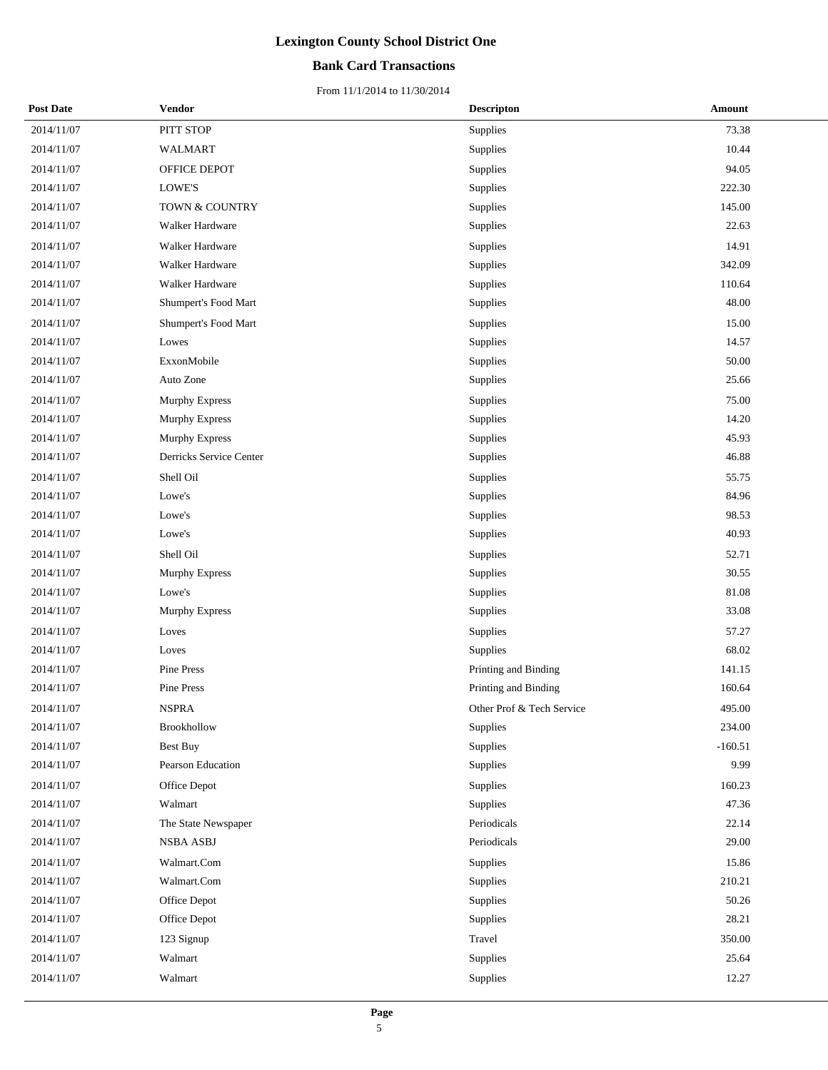## **Bank Card Transactions**

| <b>Post Date</b> | <b>Vendor</b>           | <b>Descripton</b>         | Amount    |
|------------------|-------------------------|---------------------------|-----------|
| 2014/11/07       | PITT STOP               | Supplies                  | 73.38     |
| 2014/11/07       | <b>WALMART</b>          | Supplies                  | 10.44     |
| 2014/11/07       | OFFICE DEPOT            | Supplies                  | 94.05     |
| 2014/11/07       | LOWE'S                  | Supplies                  | 222.30    |
| 2014/11/07       | TOWN & COUNTRY          | Supplies                  | 145.00    |
| 2014/11/07       | Walker Hardware         | Supplies                  | 22.63     |
| 2014/11/07       | Walker Hardware         | Supplies                  | 14.91     |
| 2014/11/07       | Walker Hardware         | Supplies                  | 342.09    |
| 2014/11/07       | Walker Hardware         | Supplies                  | 110.64    |
| 2014/11/07       | Shumpert's Food Mart    | Supplies                  | 48.00     |
| 2014/11/07       | Shumpert's Food Mart    | Supplies                  | 15.00     |
| 2014/11/07       | Lowes                   | Supplies                  | 14.57     |
| 2014/11/07       | ExxonMobile             | Supplies                  | 50.00     |
| 2014/11/07       | Auto Zone               | Supplies                  | 25.66     |
| 2014/11/07       | <b>Murphy Express</b>   | Supplies                  | 75.00     |
| 2014/11/07       | Murphy Express          | Supplies                  | 14.20     |
| 2014/11/07       | Murphy Express          | Supplies                  | 45.93     |
| 2014/11/07       | Derricks Service Center | Supplies                  | 46.88     |
| 2014/11/07       | Shell Oil               | Supplies                  | 55.75     |
| 2014/11/07       | Lowe's                  | Supplies                  | 84.96     |
| 2014/11/07       | Lowe's                  | Supplies                  | 98.53     |
| 2014/11/07       | Lowe's                  | Supplies                  | 40.93     |
| 2014/11/07       | Shell Oil               | Supplies                  | 52.71     |
| 2014/11/07       | Murphy Express          | Supplies                  | 30.55     |
| 2014/11/07       | Lowe's                  | Supplies                  | 81.08     |
| 2014/11/07       | Murphy Express          | Supplies                  | 33.08     |
| 2014/11/07       | Loves                   | Supplies                  | 57.27     |
| 2014/11/07       | Loves                   | Supplies                  | 68.02     |
| 2014/11/07       | Pine Press              | Printing and Binding      | 141.15    |
| 2014/11/07       | Pine Press              | Printing and Binding      | 160.64    |
| 2014/11/07       | <b>NSPRA</b>            | Other Prof & Tech Service | 495.00    |
| 2014/11/07       | Brookhollow             | Supplies                  | 234.00    |
| 2014/11/07       | <b>Best Buy</b>         | Supplies                  | $-160.51$ |
| 2014/11/07       | Pearson Education       | Supplies                  | 9.99      |
| 2014/11/07       | Office Depot            | Supplies                  | 160.23    |
| 2014/11/07       | Walmart                 | Supplies                  | 47.36     |
| 2014/11/07       | The State Newspaper     | Periodicals               | 22.14     |
| 2014/11/07       | <b>NSBA ASBJ</b>        | Periodicals               | 29.00     |
| 2014/11/07       | Walmart.Com             | Supplies                  | 15.86     |
| 2014/11/07       | Walmart.Com             | Supplies                  | 210.21    |
| 2014/11/07       | Office Depot            | Supplies                  | 50.26     |
| 2014/11/07       | Office Depot            | Supplies                  | 28.21     |
| 2014/11/07       | 123 Signup              | Travel                    | 350.00    |
| 2014/11/07       | Walmart                 | Supplies                  | 25.64     |
| 2014/11/07       | Walmart                 | Supplies                  | 12.27     |
|                  |                         |                           |           |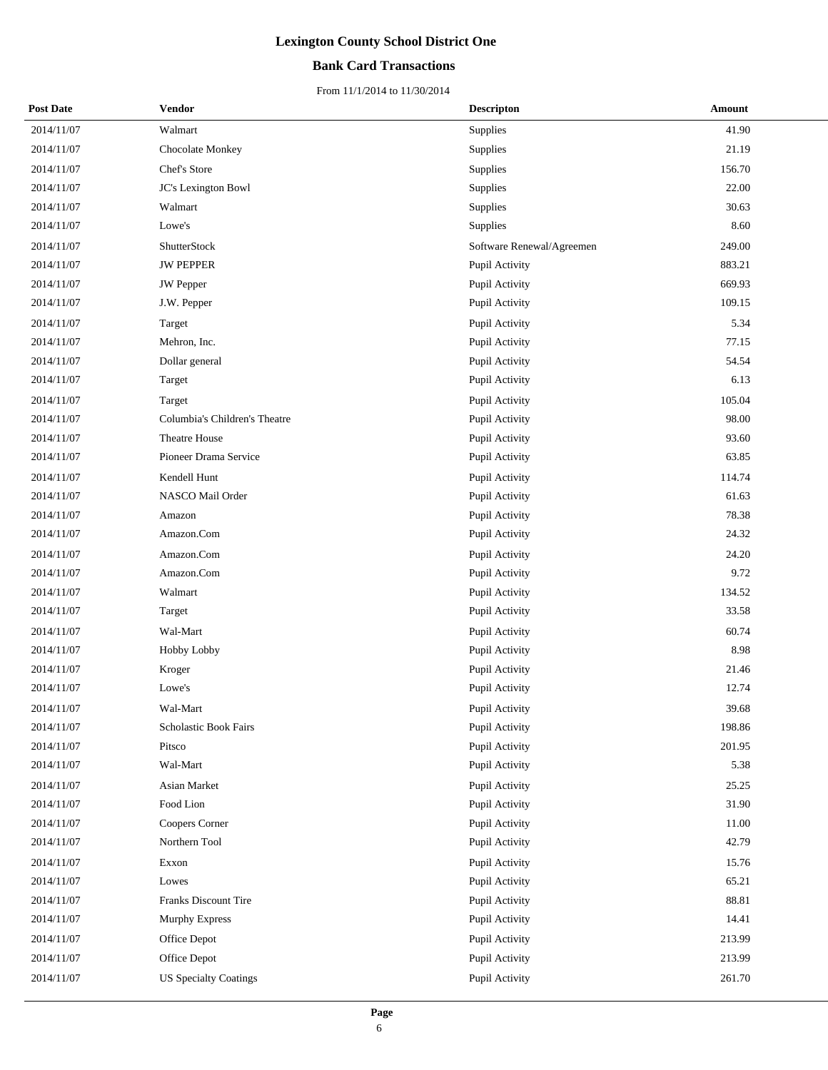## **Bank Card Transactions**

| <b>Post Date</b> | Vendor                        | <b>Descripton</b>         | Amount |
|------------------|-------------------------------|---------------------------|--------|
| 2014/11/07       | Walmart                       | Supplies                  | 41.90  |
| 2014/11/07       | Chocolate Monkey              | Supplies                  | 21.19  |
| 2014/11/07       | Chef's Store                  | Supplies                  | 156.70 |
| 2014/11/07       | JC's Lexington Bowl           | Supplies                  | 22.00  |
| 2014/11/07       | Walmart                       | Supplies                  | 30.63  |
| 2014/11/07       | Lowe's                        | Supplies                  | 8.60   |
| 2014/11/07       | ShutterStock                  | Software Renewal/Agreemen | 249.00 |
| 2014/11/07       | <b>JW PEPPER</b>              | Pupil Activity            | 883.21 |
| 2014/11/07       | <b>JW</b> Pepper              | Pupil Activity            | 669.93 |
| 2014/11/07       | J.W. Pepper                   | Pupil Activity            | 109.15 |
| 2014/11/07       | Target                        | Pupil Activity            | 5.34   |
| 2014/11/07       | Mehron, Inc.                  | Pupil Activity            | 77.15  |
| 2014/11/07       | Dollar general                | Pupil Activity            | 54.54  |
| 2014/11/07       | Target                        | Pupil Activity            | 6.13   |
| 2014/11/07       | Target                        | Pupil Activity            | 105.04 |
| 2014/11/07       | Columbia's Children's Theatre | Pupil Activity            | 98.00  |
| 2014/11/07       | <b>Theatre House</b>          | Pupil Activity            | 93.60  |
| 2014/11/07       | Pioneer Drama Service         | Pupil Activity            | 63.85  |
| 2014/11/07       | Kendell Hunt                  | Pupil Activity            | 114.74 |
| 2014/11/07       | NASCO Mail Order              | Pupil Activity            | 61.63  |
| 2014/11/07       | Amazon                        | Pupil Activity            | 78.38  |
| 2014/11/07       | Amazon.Com                    | Pupil Activity            | 24.32  |
| 2014/11/07       | Amazon.Com                    | Pupil Activity            | 24.20  |
| 2014/11/07       | Amazon.Com                    | Pupil Activity            | 9.72   |
| 2014/11/07       | Walmart                       | Pupil Activity            | 134.52 |
| 2014/11/07       | Target                        | Pupil Activity            | 33.58  |
| 2014/11/07       | Wal-Mart                      | Pupil Activity            | 60.74  |
| 2014/11/07       | Hobby Lobby                   | Pupil Activity            | 8.98   |
| 2014/11/07       | Kroger                        | Pupil Activity            | 21.46  |
| 2014/11/07       | Lowe's                        | Pupil Activity            | 12.74  |
| 2014/11/07       | Wal-Mart                      | Pupil Activity            | 39.68  |
| 2014/11/07       | Scholastic Book Fairs         | Pupil Activity            | 198.86 |
| 2014/11/07       | Pitsco                        | Pupil Activity            | 201.95 |
| 2014/11/07       | Wal-Mart                      | Pupil Activity            | 5.38   |
| 2014/11/07       | Asian Market                  | Pupil Activity            | 25.25  |
| 2014/11/07       | Food Lion                     | Pupil Activity            | 31.90  |
| 2014/11/07       | Coopers Corner                | Pupil Activity            | 11.00  |
| 2014/11/07       | Northern Tool                 | Pupil Activity            | 42.79  |
| 2014/11/07       | Exxon                         | Pupil Activity            | 15.76  |
| 2014/11/07       | Lowes                         | Pupil Activity            | 65.21  |
| 2014/11/07       | Franks Discount Tire          | Pupil Activity            | 88.81  |
| 2014/11/07       | <b>Murphy Express</b>         | Pupil Activity            | 14.41  |
| 2014/11/07       | Office Depot                  | Pupil Activity            | 213.99 |
| 2014/11/07       | Office Depot                  | Pupil Activity            | 213.99 |
| 2014/11/07       | <b>US Specialty Coatings</b>  | Pupil Activity            | 261.70 |
|                  |                               |                           |        |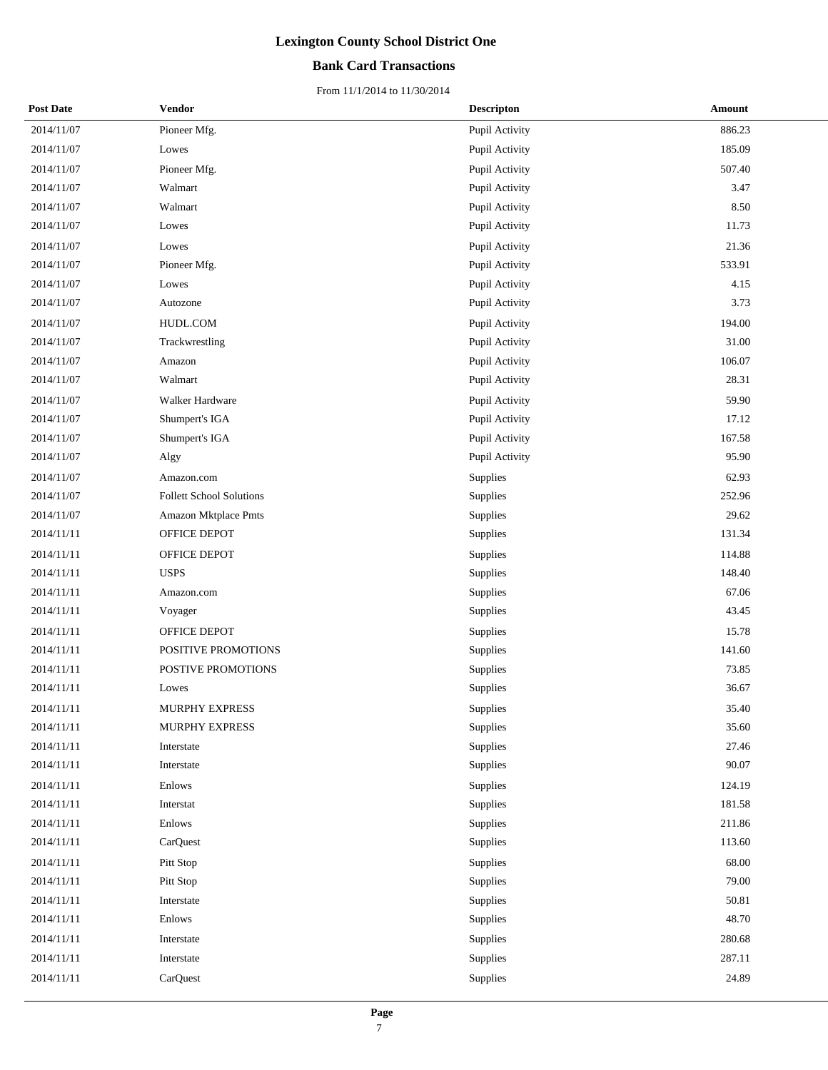## **Bank Card Transactions**

| <b>Post Date</b> | Vendor                          | <b>Descripton</b> | Amount |
|------------------|---------------------------------|-------------------|--------|
| 2014/11/07       | Pioneer Mfg.                    | Pupil Activity    | 886.23 |
| 2014/11/07       | Lowes                           | Pupil Activity    | 185.09 |
| 2014/11/07       | Pioneer Mfg.                    | Pupil Activity    | 507.40 |
| 2014/11/07       | Walmart                         | Pupil Activity    | 3.47   |
| 2014/11/07       | Walmart                         | Pupil Activity    | 8.50   |
| 2014/11/07       | Lowes                           | Pupil Activity    | 11.73  |
| 2014/11/07       | Lowes                           | Pupil Activity    | 21.36  |
| 2014/11/07       | Pioneer Mfg.                    | Pupil Activity    | 533.91 |
| 2014/11/07       | Lowes                           | Pupil Activity    | 4.15   |
| 2014/11/07       | Autozone                        | Pupil Activity    | 3.73   |
| 2014/11/07       | HUDL.COM                        | Pupil Activity    | 194.00 |
| 2014/11/07       | Trackwrestling                  | Pupil Activity    | 31.00  |
| 2014/11/07       | Amazon                          | Pupil Activity    | 106.07 |
| 2014/11/07       | Walmart                         | Pupil Activity    | 28.31  |
| 2014/11/07       | Walker Hardware                 | Pupil Activity    | 59.90  |
| 2014/11/07       | Shumpert's IGA                  | Pupil Activity    | 17.12  |
| 2014/11/07       | Shumpert's IGA                  | Pupil Activity    | 167.58 |
| 2014/11/07       | Algy                            | Pupil Activity    | 95.90  |
| 2014/11/07       | Amazon.com                      | Supplies          | 62.93  |
| 2014/11/07       | <b>Follett School Solutions</b> | Supplies          | 252.96 |
| 2014/11/07       | Amazon Mktplace Pmts            | Supplies          | 29.62  |
| 2014/11/11       | OFFICE DEPOT                    | Supplies          | 131.34 |
| 2014/11/11       | OFFICE DEPOT                    | Supplies          | 114.88 |
| 2014/11/11       | <b>USPS</b>                     | Supplies          | 148.40 |
| 2014/11/11       | Amazon.com                      | Supplies          | 67.06  |
| 2014/11/11       | Voyager                         | Supplies          | 43.45  |
| 2014/11/11       | OFFICE DEPOT                    | Supplies          | 15.78  |
| 2014/11/11       | POSITIVE PROMOTIONS             | Supplies          | 141.60 |
| 2014/11/11       | POSTIVE PROMOTIONS              | Supplies          | 73.85  |
| 2014/11/11       | Lowes                           | Supplies          | 36.67  |
| 2014/11/11       | <b>MURPHY EXPRESS</b>           | Supplies          | 35.40  |
| 2014/11/11       | MURPHY EXPRESS                  | Supplies          | 35.60  |
| 2014/11/11       | Interstate                      | Supplies          | 27.46  |
| 2014/11/11       | Interstate                      | Supplies          | 90.07  |
| 2014/11/11       | Enlows                          | Supplies          | 124.19 |
| 2014/11/11       | Interstat                       | Supplies          | 181.58 |
| 2014/11/11       | Enlows                          | Supplies          | 211.86 |
| 2014/11/11       | CarQuest                        | Supplies          | 113.60 |
| 2014/11/11       | Pitt Stop                       | Supplies          | 68.00  |
| 2014/11/11       | Pitt Stop                       | Supplies          | 79.00  |
| 2014/11/11       | Interstate                      | Supplies          | 50.81  |
| 2014/11/11       | Enlows                          | Supplies          | 48.70  |
| 2014/11/11       | Interstate                      | Supplies          | 280.68 |
| 2014/11/11       | Interstate                      | Supplies          | 287.11 |
| 2014/11/11       | CarQuest                        | Supplies          | 24.89  |
|                  |                                 |                   |        |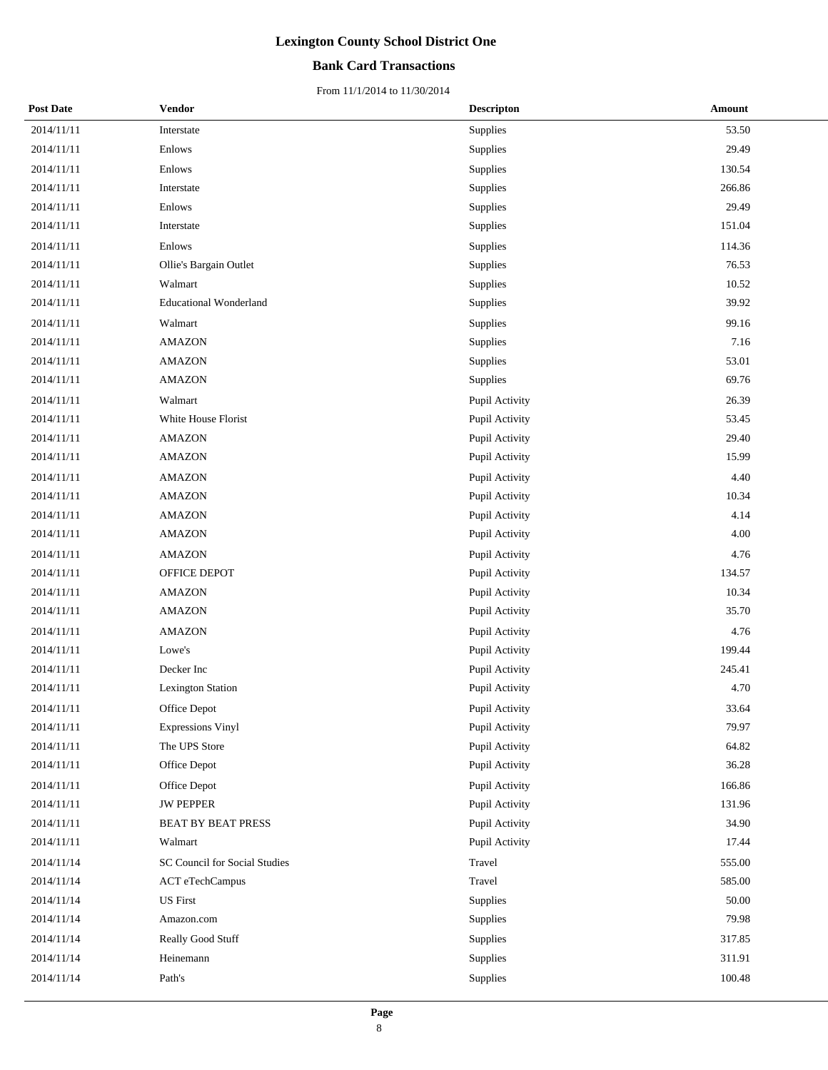### **Bank Card Transactions**

| <b>Post Date</b> | <b>Vendor</b>                 | <b>Descripton</b> | Amount |
|------------------|-------------------------------|-------------------|--------|
| 2014/11/11       | Interstate                    | Supplies          | 53.50  |
| 2014/11/11       | Enlows                        | Supplies          | 29.49  |
| 2014/11/11       | Enlows                        | Supplies          | 130.54 |
| 2014/11/11       | Interstate                    | Supplies          | 266.86 |
| 2014/11/11       | Enlows                        | Supplies          | 29.49  |
| 2014/11/11       | Interstate                    | Supplies          | 151.04 |
| 2014/11/11       | Enlows                        | Supplies          | 114.36 |
| 2014/11/11       | Ollie's Bargain Outlet        | Supplies          | 76.53  |
| 2014/11/11       | Walmart                       | Supplies          | 10.52  |
| 2014/11/11       | <b>Educational Wonderland</b> | Supplies          | 39.92  |
| 2014/11/11       | Walmart                       | Supplies          | 99.16  |
| 2014/11/11       | <b>AMAZON</b>                 | Supplies          | 7.16   |
| 2014/11/11       | <b>AMAZON</b>                 | Supplies          | 53.01  |
| 2014/11/11       | <b>AMAZON</b>                 | Supplies          | 69.76  |
| 2014/11/11       | Walmart                       | Pupil Activity    | 26.39  |
| 2014/11/11       | White House Florist           | Pupil Activity    | 53.45  |
| 2014/11/11       | <b>AMAZON</b>                 | Pupil Activity    | 29.40  |
| 2014/11/11       | <b>AMAZON</b>                 | Pupil Activity    | 15.99  |
| 2014/11/11       | <b>AMAZON</b>                 | Pupil Activity    | 4.40   |
| 2014/11/11       | <b>AMAZON</b>                 | Pupil Activity    | 10.34  |
| 2014/11/11       | AMAZON                        | Pupil Activity    | 4.14   |
| 2014/11/11       | <b>AMAZON</b>                 | Pupil Activity    | 4.00   |
| 2014/11/11       | <b>AMAZON</b>                 | Pupil Activity    | 4.76   |
| 2014/11/11       | OFFICE DEPOT                  | Pupil Activity    | 134.57 |
| 2014/11/11       | <b>AMAZON</b>                 | Pupil Activity    | 10.34  |
| 2014/11/11       | <b>AMAZON</b>                 | Pupil Activity    | 35.70  |
| 2014/11/11       | <b>AMAZON</b>                 | Pupil Activity    | 4.76   |
| 2014/11/11       | Lowe's                        | Pupil Activity    | 199.44 |
| 2014/11/11       | Decker Inc                    | Pupil Activity    | 245.41 |
| 2014/11/11       | <b>Lexington Station</b>      | Pupil Activity    | 4.70   |
| 2014/11/11       | Office Depot                  | Pupil Activity    | 33.64  |
| 2014/11/11       | <b>Expressions Vinyl</b>      | Pupil Activity    | 79.97  |
| 2014/11/11       | The UPS Store                 | Pupil Activity    | 64.82  |
| 2014/11/11       | Office Depot                  | Pupil Activity    | 36.28  |
| 2014/11/11       | Office Depot                  | Pupil Activity    | 166.86 |
| 2014/11/11       | <b>JW PEPPER</b>              | Pupil Activity    | 131.96 |
| 2014/11/11       | <b>BEAT BY BEAT PRESS</b>     | Pupil Activity    | 34.90  |
| 2014/11/11       | Walmart                       | Pupil Activity    | 17.44  |
| 2014/11/14       | SC Council for Social Studies | Travel            | 555.00 |
| 2014/11/14       | ACT eTechCampus               | Travel            | 585.00 |
| 2014/11/14       | <b>US</b> First               | Supplies          | 50.00  |
| 2014/11/14       | Amazon.com                    | Supplies          | 79.98  |
| 2014/11/14       | Really Good Stuff             | Supplies          | 317.85 |
| 2014/11/14       | Heinemann                     | Supplies          | 311.91 |
| 2014/11/14       | Path's                        | Supplies          | 100.48 |
|                  |                               |                   |        |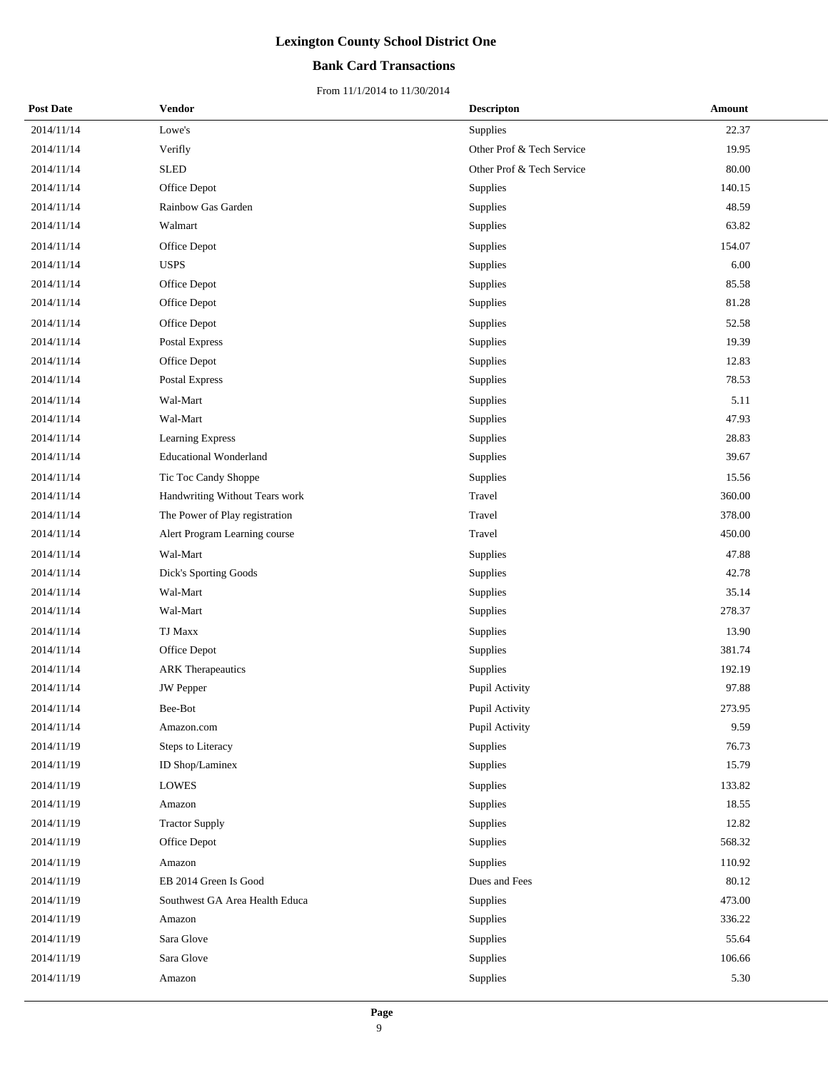## **Bank Card Transactions**

| <b>Post Date</b> | Vendor                         | <b>Descripton</b>         | Amount |
|------------------|--------------------------------|---------------------------|--------|
| 2014/11/14       | Lowe's                         | Supplies                  | 22.37  |
| 2014/11/14       | Verifly                        | Other Prof & Tech Service | 19.95  |
| 2014/11/14       | <b>SLED</b>                    | Other Prof & Tech Service | 80.00  |
| 2014/11/14       | Office Depot                   | Supplies                  | 140.15 |
| 2014/11/14       | Rainbow Gas Garden             | Supplies                  | 48.59  |
| 2014/11/14       | Walmart                        | Supplies                  | 63.82  |
| 2014/11/14       | Office Depot                   | Supplies                  | 154.07 |
| 2014/11/14       | <b>USPS</b>                    | Supplies                  | 6.00   |
| 2014/11/14       | Office Depot                   | Supplies                  | 85.58  |
| 2014/11/14       | Office Depot                   | Supplies                  | 81.28  |
| 2014/11/14       | Office Depot                   | Supplies                  | 52.58  |
| 2014/11/14       | Postal Express                 | Supplies                  | 19.39  |
| 2014/11/14       | Office Depot                   | Supplies                  | 12.83  |
| 2014/11/14       | Postal Express                 | Supplies                  | 78.53  |
| 2014/11/14       | Wal-Mart                       | Supplies                  | 5.11   |
| 2014/11/14       | Wal-Mart                       | Supplies                  | 47.93  |
| 2014/11/14       | Learning Express               | Supplies                  | 28.83  |
| 2014/11/14       | <b>Educational Wonderland</b>  | Supplies                  | 39.67  |
| 2014/11/14       | Tic Toc Candy Shoppe           | Supplies                  | 15.56  |
| 2014/11/14       | Handwriting Without Tears work | Travel                    | 360.00 |
| 2014/11/14       | The Power of Play registration | Travel                    | 378.00 |
| 2014/11/14       | Alert Program Learning course  | Travel                    | 450.00 |
| 2014/11/14       | Wal-Mart                       | Supplies                  | 47.88  |
| 2014/11/14       | Dick's Sporting Goods          | Supplies                  | 42.78  |
| 2014/11/14       | Wal-Mart                       | Supplies                  | 35.14  |
| 2014/11/14       | Wal-Mart                       | Supplies                  | 278.37 |
| 2014/11/14       | <b>TJ Maxx</b>                 | Supplies                  | 13.90  |
| 2014/11/14       | Office Depot                   | Supplies                  | 381.74 |
| 2014/11/14       | <b>ARK</b> Therapeautics       | Supplies                  | 192.19 |
| 2014/11/14       | <b>JW</b> Pepper               | Pupil Activity            | 97.88  |
| 2014/11/14       | Bee-Bot                        | Pupil Activity            | 273.95 |
| 2014/11/14       | Amazon.com                     | Pupil Activity            | 9.59   |
| 2014/11/19       | Steps to Literacy              | Supplies                  | 76.73  |
| 2014/11/19       | ID Shop/Laminex                | Supplies                  | 15.79  |
| 2014/11/19       | LOWES                          | Supplies                  | 133.82 |
| 2014/11/19       | Amazon                         | Supplies                  | 18.55  |
| 2014/11/19       | <b>Tractor Supply</b>          | Supplies                  | 12.82  |
| 2014/11/19       | Office Depot                   | Supplies                  | 568.32 |
| 2014/11/19       | Amazon                         | Supplies                  | 110.92 |
| 2014/11/19       | EB 2014 Green Is Good          | Dues and Fees             | 80.12  |
| 2014/11/19       | Southwest GA Area Health Educa | Supplies                  | 473.00 |
| 2014/11/19       | Amazon                         | Supplies                  | 336.22 |
| 2014/11/19       | Sara Glove                     | Supplies                  | 55.64  |
| 2014/11/19       | Sara Glove                     | Supplies                  | 106.66 |
| 2014/11/19       | Amazon                         | Supplies                  | 5.30   |
|                  |                                |                           |        |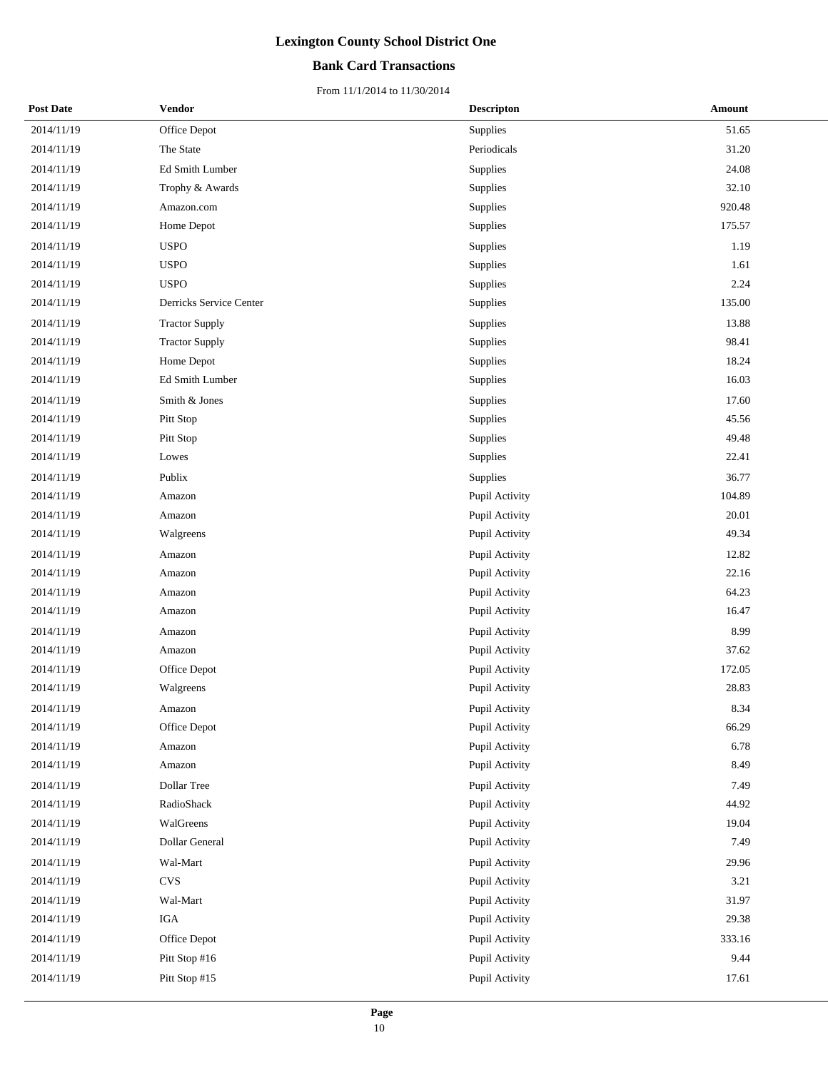## **Bank Card Transactions**

| <b>Post Date</b> | Vendor                  | <b>Descripton</b> | Amount |
|------------------|-------------------------|-------------------|--------|
| 2014/11/19       | Office Depot            | Supplies          | 51.65  |
| 2014/11/19       | The State               | Periodicals       | 31.20  |
| 2014/11/19       | Ed Smith Lumber         | Supplies          | 24.08  |
| 2014/11/19       | Trophy & Awards         | Supplies          | 32.10  |
| 2014/11/19       | Amazon.com              | Supplies          | 920.48 |
| 2014/11/19       | Home Depot              | Supplies          | 175.57 |
| 2014/11/19       | <b>USPO</b>             | Supplies          | 1.19   |
| 2014/11/19       | <b>USPO</b>             | Supplies          | 1.61   |
| 2014/11/19       | <b>USPO</b>             | Supplies          | 2.24   |
| 2014/11/19       | Derricks Service Center | Supplies          | 135.00 |
| 2014/11/19       | <b>Tractor Supply</b>   | Supplies          | 13.88  |
| 2014/11/19       | <b>Tractor Supply</b>   | Supplies          | 98.41  |
| 2014/11/19       | Home Depot              | Supplies          | 18.24  |
| 2014/11/19       | Ed Smith Lumber         | Supplies          | 16.03  |
| 2014/11/19       | Smith & Jones           | Supplies          | 17.60  |
| 2014/11/19       | Pitt Stop               | Supplies          | 45.56  |
| 2014/11/19       | Pitt Stop               | Supplies          | 49.48  |
| 2014/11/19       | Lowes                   | Supplies          | 22.41  |
| 2014/11/19       | Publix                  | Supplies          | 36.77  |
| 2014/11/19       | Amazon                  | Pupil Activity    | 104.89 |
| 2014/11/19       | Amazon                  | Pupil Activity    | 20.01  |
| 2014/11/19       | Walgreens               | Pupil Activity    | 49.34  |
| 2014/11/19       | Amazon                  | Pupil Activity    | 12.82  |
| 2014/11/19       | Amazon                  | Pupil Activity    | 22.16  |
| 2014/11/19       | Amazon                  | Pupil Activity    | 64.23  |
| 2014/11/19       | Amazon                  | Pupil Activity    | 16.47  |
| 2014/11/19       | Amazon                  | Pupil Activity    | 8.99   |
| 2014/11/19       | Amazon                  | Pupil Activity    | 37.62  |
| 2014/11/19       | Office Depot            | Pupil Activity    | 172.05 |
| 2014/11/19       | Walgreens               | Pupil Activity    | 28.83  |
| 2014/11/19       | Amazon                  | Pupil Activity    | 8.34   |
| 2014/11/19       | Office Depot            | Pupil Activity    | 66.29  |
| 2014/11/19       | Amazon                  | Pupil Activity    | 6.78   |
| 2014/11/19       | Amazon                  | Pupil Activity    | 8.49   |
| 2014/11/19       | Dollar Tree             | Pupil Activity    | 7.49   |
| 2014/11/19       | RadioShack              | Pupil Activity    | 44.92  |
| 2014/11/19       | WalGreens               | Pupil Activity    | 19.04  |
| 2014/11/19       | Dollar General          | Pupil Activity    | 7.49   |
| 2014/11/19       | Wal-Mart                | Pupil Activity    | 29.96  |
| 2014/11/19       | <b>CVS</b>              | Pupil Activity    | 3.21   |
| 2014/11/19       | Wal-Mart                | Pupil Activity    | 31.97  |
| 2014/11/19       | IGA                     | Pupil Activity    | 29.38  |
| 2014/11/19       | Office Depot            | Pupil Activity    | 333.16 |
| 2014/11/19       | Pitt Stop #16           | Pupil Activity    | 9.44   |
| 2014/11/19       | Pitt Stop #15           | Pupil Activity    | 17.61  |
|                  |                         |                   |        |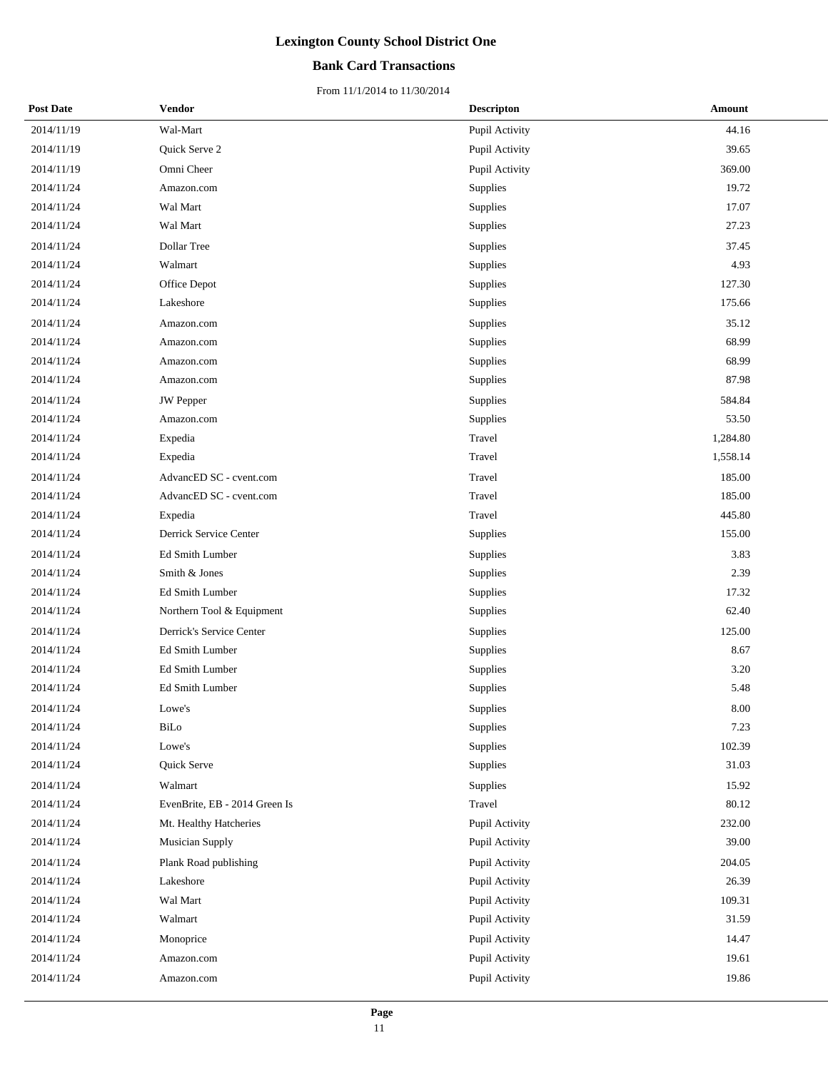## **Bank Card Transactions**

| <b>Post Date</b> | Vendor                        | <b>Descripton</b> | Amount   |
|------------------|-------------------------------|-------------------|----------|
| 2014/11/19       | Wal-Mart                      | Pupil Activity    | 44.16    |
| 2014/11/19       | Quick Serve 2                 | Pupil Activity    | 39.65    |
| 2014/11/19       | Omni Cheer                    | Pupil Activity    | 369.00   |
| 2014/11/24       | Amazon.com                    | Supplies          | 19.72    |
| 2014/11/24       | Wal Mart                      | Supplies          | 17.07    |
| 2014/11/24       | Wal Mart                      | Supplies          | 27.23    |
| 2014/11/24       | Dollar Tree                   | Supplies          | 37.45    |
| 2014/11/24       | Walmart                       | Supplies          | 4.93     |
| 2014/11/24       | Office Depot                  | Supplies          | 127.30   |
| 2014/11/24       | Lakeshore                     | Supplies          | 175.66   |
| 2014/11/24       | Amazon.com                    | Supplies          | 35.12    |
| 2014/11/24       | Amazon.com                    | Supplies          | 68.99    |
| 2014/11/24       | Amazon.com                    | Supplies          | 68.99    |
| 2014/11/24       | Amazon.com                    | Supplies          | 87.98    |
| 2014/11/24       | JW Pepper                     | Supplies          | 584.84   |
| 2014/11/24       | Amazon.com                    | Supplies          | 53.50    |
| 2014/11/24       | Expedia                       | Travel            | 1,284.80 |
| 2014/11/24       | Expedia                       | Travel            | 1,558.14 |
| 2014/11/24       | AdvancED SC - cvent.com       | Travel            | 185.00   |
| 2014/11/24       | AdvancED SC - cvent.com       | Travel            | 185.00   |
| 2014/11/24       | Expedia                       | Travel            | 445.80   |
| 2014/11/24       | Derrick Service Center        | Supplies          | 155.00   |
| 2014/11/24       | Ed Smith Lumber               | Supplies          | 3.83     |
| 2014/11/24       | Smith & Jones                 | Supplies          | 2.39     |
| 2014/11/24       | Ed Smith Lumber               | Supplies          | 17.32    |
| 2014/11/24       | Northern Tool & Equipment     | Supplies          | 62.40    |
| 2014/11/24       | Derrick's Service Center      | Supplies          | 125.00   |
| 2014/11/24       | Ed Smith Lumber               | Supplies          | 8.67     |
| 2014/11/24       | Ed Smith Lumber               | Supplies          | 3.20     |
| 2014/11/24       | Ed Smith Lumber               | Supplies          | 5.48     |
| 2014/11/24       | Lowe's                        | Supplies          | 8.00     |
| 2014/11/24       | BiLo                          | Supplies          | 7.23     |
| 2014/11/24       | Lowe's                        | Supplies          | 102.39   |
| 2014/11/24       | Quick Serve                   | Supplies          | 31.03    |
| 2014/11/24       | Walmart                       | Supplies          | 15.92    |
| 2014/11/24       | EvenBrite, EB - 2014 Green Is | Travel            | 80.12    |
| 2014/11/24       | Mt. Healthy Hatcheries        | Pupil Activity    | 232.00   |
| 2014/11/24       | Musician Supply               | Pupil Activity    | 39.00    |
| 2014/11/24       | Plank Road publishing         | Pupil Activity    | 204.05   |
| 2014/11/24       | Lakeshore                     | Pupil Activity    | 26.39    |
| 2014/11/24       | Wal Mart                      | Pupil Activity    | 109.31   |
| 2014/11/24       | Walmart                       | Pupil Activity    | 31.59    |
| 2014/11/24       | Monoprice                     | Pupil Activity    | 14.47    |
| 2014/11/24       | Amazon.com                    | Pupil Activity    | 19.61    |
| 2014/11/24       | Amazon.com                    | Pupil Activity    | 19.86    |
|                  |                               |                   |          |